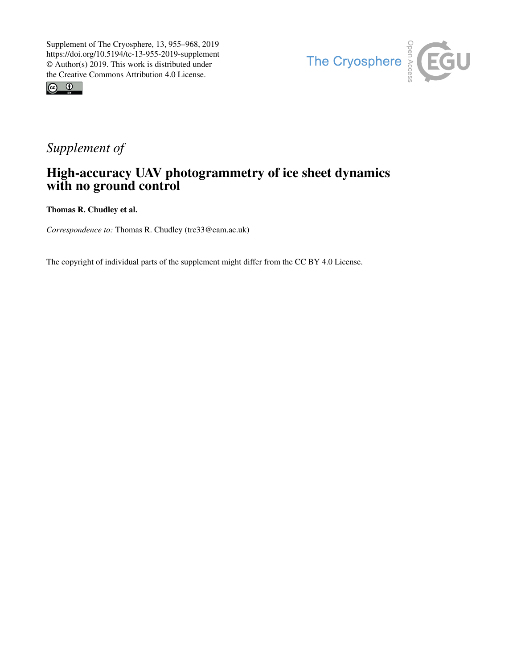



## *Supplement of*

## High-accuracy UAV photogrammetry of ice sheet dynamics with no ground control

Thomas R. Chudley et al.

*Correspondence to:* Thomas R. Chudley (trc33@cam.ac.uk)

The copyright of individual parts of the supplement might differ from the CC BY 4.0 License.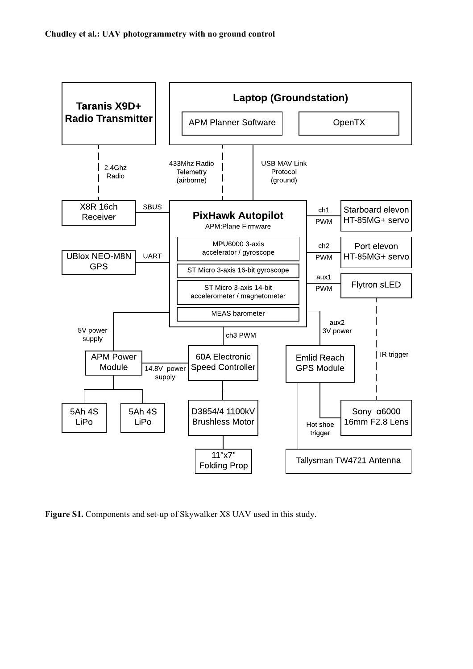

**Figure S1.** Components and set-up of Skywalker X8 UAV used in this study.